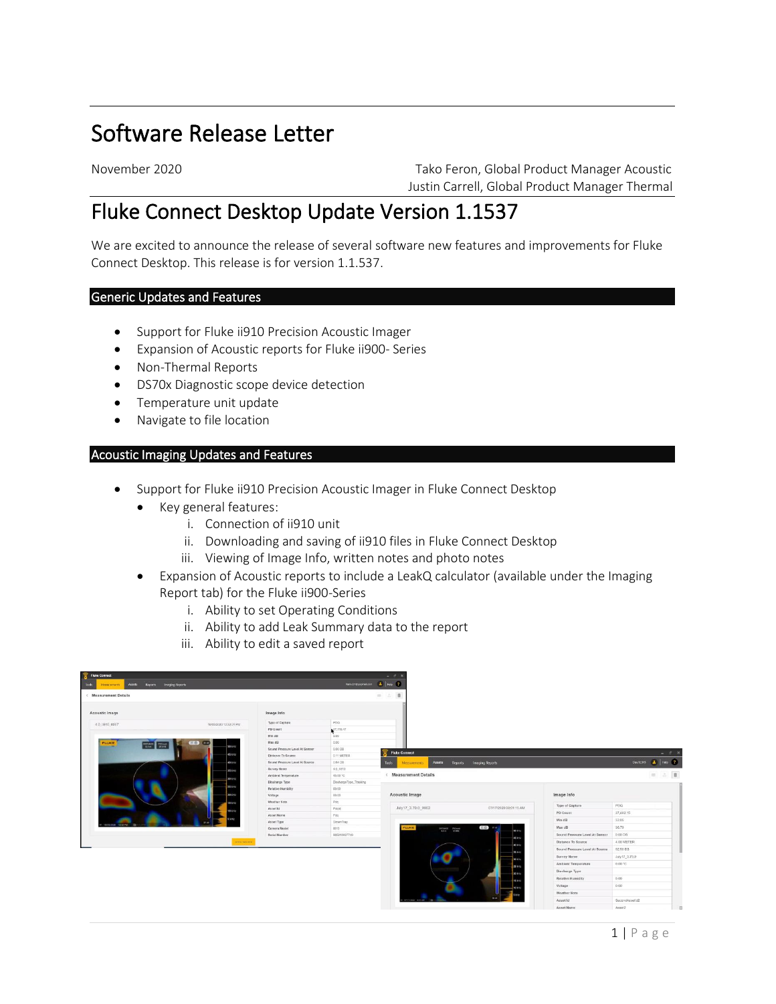# Software Release Letter

November 2020 Tako Feron, Global Product Manager Acoustic Justin Carrell, Global Product Manager Thermal

## Fluke Connect Desktop Update Version 1.1537

We are excited to announce the release of several software new features and improvements for Fluke Connect Desktop. This release is for version 1.1.537.

#### Generic Updates and Features

- Support for Fluke ii910 Precision Acoustic Imager
- Expansion of Acoustic reports for Fluke ii900- Series
- Non-Thermal Reports
- DS70x Diagnostic scope device detection
- Temperature unit update
- Navigate to file location

#### Acoustic Imaging Updates and Features

- Support for Fluke ii910 Precision Acoustic Imager in Fluke Connect Desktop
	- Key general features:
		- i. Connection of ii910 unit
		- ii. Downloading and saving of ii910 files in Fluke Connect Desktop
		- iii. Viewing of Image Info, written notes and photo notes
	- Expansion of Acoustic reports to include a LeakQ calculator (available under the Imaging Report tab) for the Fluke ii900-Series
		- i. Ability to set Operating Conditions
		- ii. Ability to add Leak Summary data to the report
		- iii. Ability to edit a saved report

| Fluke Connect<br>Massurements Assets Reports Imaging Reports<br><b>Took</b> |                                     |                                                                                        | Rencheyonation & Hop 2                          | $  +$ $\times$                                                                                  |                                              |                                                                     |                                                                                                                                                 |
|-----------------------------------------------------------------------------|-------------------------------------|----------------------------------------------------------------------------------------|-------------------------------------------------|-------------------------------------------------------------------------------------------------|----------------------------------------------|---------------------------------------------------------------------|-------------------------------------------------------------------------------------------------------------------------------------------------|
| <b>Measurement Details</b>                                                  |                                     |                                                                                        |                                                 | 一 二 重                                                                                           |                                              |                                                                     |                                                                                                                                                 |
| Acoustic Image                                                              |                                     | Image Info                                                                             |                                                 |                                                                                                 |                                              |                                                                     |                                                                                                                                                 |
| 4.0 H910 0007<br><b>PLUKE</b><br><b>Brown Power</b>                         | 10/05/2020 12:32:01 PM<br>शक)<br>ma | Type of Capture<br>PD Count<br>Min dB<br>Shax dB                                       | PDQ<br>$X^{27,115,47}$<br>0.00<br>0.00          |                                                                                                 |                                              |                                                                     |                                                                                                                                                 |
|                                                                             | 50.111<br>45110<br>40 kHz           | Sound Pressure Level At Sensor<br>Distance To Source<br>Sound Pressure Level At Source | 0.00.08<br>0.11 METER<br>0.64 DB                | <b>Fluke Connect</b><br>信<br>Assets<br>Tools<br>Measurements                                    | <b>Reports Imaging Reports</b>               |                                                                     | $= \begin{array}{cc} \circ & x \end{array}$<br>Dec1236 $\begin{array}{ c c c }\hline \textbf{A} & \textbf{0} & \textbf{0} \\\hline \end{array}$ |
|                                                                             | <b>35 kblz</b><br>30 kHz            | Survey Name<br>Ambient Temperature<br>Discharge Type                                   | 4.0_1910<br>45.00 °C.<br>DischargeType_Tracking | < Measurement Details                                                                           |                                              |                                                                     | $\begin{array}{ccc} \alpha & \beta & 0 \\ \end{array}$                                                                                          |
|                                                                             | 25 kHz<br><b>20 kHz</b><br>15.660   | <b>Relative Humidity</b><br>Voltage:<br>Weather Note                                   | 60.00<br>89.00<br>Pdq.                          | Acoustic Image                                                                                  |                                              | Image Info                                                          |                                                                                                                                                 |
|                                                                             | 10 kHz                              | Assettd<br>Asset Name<br>Asset Type                                                    | Poid<br>Pdg.<br>SteamTrap                       | July17_3.79.0_0002                                                                              | 07/17/2020 08:01:15 AM                       | Type of Capture<br>PD Count<br>Min dB                               | PDQ<br>27,482.15<br>33.05                                                                                                                       |
|                                                                             |                                     | Camera Model<br>Serial Number                                                          | 8910<br>865210027740                            | PLLICE<br>$\begin{tabular}{ll} \bf 0111411 & \tt FUCane \\ \bf 414 & \tt D/40 \\ \end{tabular}$ | (35.60)<br>17.0<br><b>Kill Jose</b><br>45 km | Max dB<br>Sound Pressure Level At Sensor                            | 36.79<br>0.00 DB                                                                                                                                |
|                                                                             | <b>MONTRACIEN</b>                   |                                                                                        |                                                 |                                                                                                 | 46 100<br><b>DE AND</b><br>80,110            | Distance To Source<br>Sound Pressure Level At Source<br>Survey Name | 4.00 METER<br>52.50 DB<br>July 17, 3.79.0                                                                                                       |
|                                                                             |                                     |                                                                                        |                                                 |                                                                                                 | 25 kHz<br>20 kHz                             | Ambient Temperature<br>Discharge Type                               | 0.00 °C                                                                                                                                         |
|                                                                             |                                     |                                                                                        |                                                 |                                                                                                 | <b>STAND</b>                                 | Relative Humidity<br>Voltage<br><b>Weather Note</b>                 | 0.00<br>0.00                                                                                                                                    |
|                                                                             |                                     |                                                                                        |                                                 | <b>CONTRACTOR</b>                                                                               | 33.4                                         | Asset Id                                                            | Second Assettd2                                                                                                                                 |
|                                                                             |                                     |                                                                                        |                                                 |                                                                                                 |                                              | Asset Name                                                          | Asset2                                                                                                                                          |